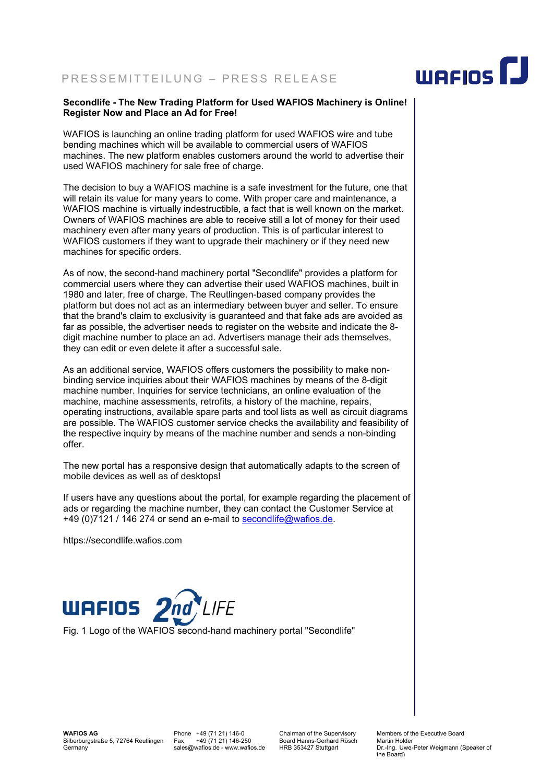## PRESSEMITTEILUNG – PRESS RELEASE

## **Secondlife - The New Trading Platform for Used WAFIOS Machinery is Online! Register Now and Place an Ad for Free!**

WAFIOS is launching an online trading platform for used WAFIOS wire and tube bending machines which will be available to commercial users of WAFIOS machines. The new platform enables customers around the world to advertise their used WAFIOS machinery for sale free of charge.

The decision to buy a WAFIOS machine is a safe investment for the future, one that will retain its value for many years to come. With proper care and maintenance, a WAFIOS machine is virtually indestructible, a fact that is well known on the market. Owners of WAFIOS machines are able to receive still a lot of money for their used machinery even after many years of production. This is of particular interest to WAFIOS customers if they want to upgrade their machinery or if they need new machines for specific orders.

As of now, the second-hand machinery portal "Secondlife" provides a platform for commercial users where they can advertise their used WAFIOS machines, built in 1980 and later, free of charge. The Reutlingen-based company provides the platform but does not act as an intermediary between buyer and seller. To ensure that the brand's claim to exclusivity is guaranteed and that fake ads are avoided as far as possible, the advertiser needs to register on the website and indicate the 8 digit machine number to place an ad. Advertisers manage their ads themselves, they can edit or even delete it after a successful sale.

As an additional service, WAFIOS offers customers the possibility to make nonbinding service inquiries about their WAFIOS machines by means of the 8-digit machine number. Inquiries for service technicians, an online evaluation of the machine, machine assessments, retrofits, a history of the machine, repairs, operating instructions, available spare parts and tool lists as well as circuit diagrams are possible. The WAFIOS customer service checks the availability and feasibility of the respective inquiry by means of the machine number and sends a non-binding offer.

The new portal has a responsive design that automatically adapts to the screen of mobile devices as well as of desktops!

If users have any questions about the portal, for example regarding the placement of ads or regarding the machine number, they can contact the Customer Service at +49 (0)7121 / 146 274 or send an e-mail to secondlife@wafios.de.

https://secondlife.wafios.com



**WAFIOS AG**  Silberburgstraße 5, 72764 Reutlingen Germany

Phone +49 (71 21) 146-0 Fax +49 (71 21) 146-250 sales@wafios.de - www.wafios.de Chairman of the Supervisory Board Hanns-Gerhard Rösch HRB 353427 Stuttgart Members of the Executive Board Martin Holder Dr.-Ing. Uwe-Peter Weigmann (Speaker of the Board)

## WAFIOS<sup>I</sup>